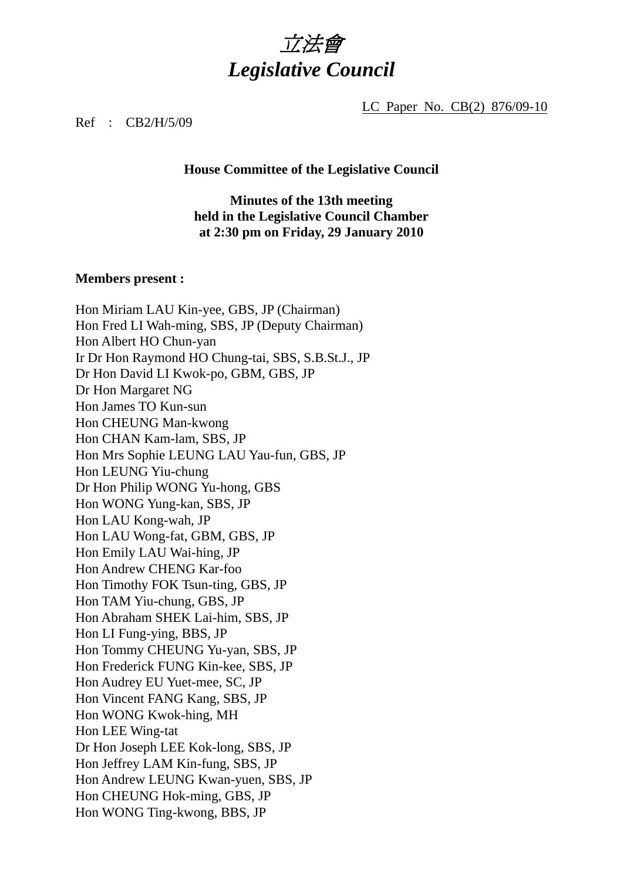# 立法會 *Legislative Council*

LC Paper No. CB(2) 876/09-10

Ref : CB2/H/5/09

#### **House Committee of the Legislative Council**

## **Minutes of the 13th meeting held in the Legislative Council Chamber at 2:30 pm on Friday, 29 January 2010**

#### **Members present :**

Hon Miriam LAU Kin-yee, GBS, JP (Chairman) Hon Fred LI Wah-ming, SBS, JP (Deputy Chairman) Hon Albert HO Chun-yan Ir Dr Hon Raymond HO Chung-tai, SBS, S.B.St.J., JP Dr Hon David LI Kwok-po, GBM, GBS, JP Dr Hon Margaret NG Hon James TO Kun-sun Hon CHEUNG Man-kwong Hon CHAN Kam-lam, SBS, JP Hon Mrs Sophie LEUNG LAU Yau-fun, GBS, JP Hon LEUNG Yiu-chung Dr Hon Philip WONG Yu-hong, GBS Hon WONG Yung-kan, SBS, JP Hon LAU Kong-wah, JP Hon LAU Wong-fat, GBM, GBS, JP Hon Emily LAU Wai-hing, JP Hon Andrew CHENG Kar-foo Hon Timothy FOK Tsun-ting, GBS, JP Hon TAM Yiu-chung, GBS, JP Hon Abraham SHEK Lai-him, SBS, JP Hon LI Fung-ying, BBS, JP Hon Tommy CHEUNG Yu-yan, SBS, JP Hon Frederick FUNG Kin-kee, SBS, JP Hon Audrey EU Yuet-mee, SC, JP Hon Vincent FANG Kang, SBS, JP Hon WONG Kwok-hing, MH Hon LEE Wing-tat Dr Hon Joseph LEE Kok-long, SBS, JP Hon Jeffrey LAM Kin-fung, SBS, JP Hon Andrew LEUNG Kwan-yuen, SBS, JP Hon CHEUNG Hok-ming, GBS, JP Hon WONG Ting-kwong, BBS, JP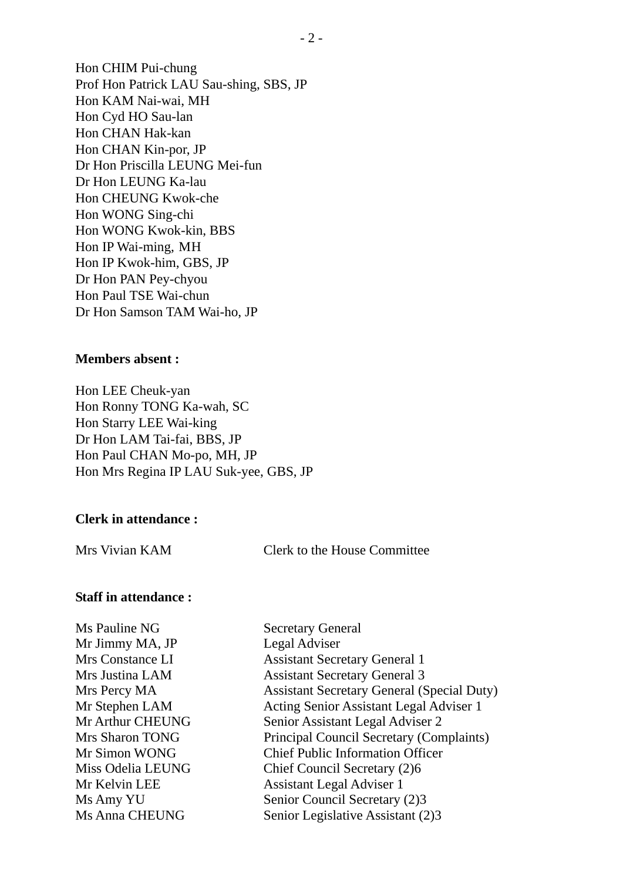Hon CHIM Pui-chung Prof Hon Patrick LAU Sau-shing, SBS, JP Hon KAM Nai-wai, MH Hon Cyd HO Sau-lan Hon CHAN Hak-kan Hon CHAN Kin-por, JP Dr Hon Priscilla LEUNG Mei-fun Dr Hon LEUNG Ka-lau Hon CHEUNG Kwok-che Hon WONG Sing-chi Hon WONG Kwok-kin, BBS Hon IP Wai-ming, MH Hon IP Kwok-him, GBS, JP Dr Hon PAN Pey-chyou Hon Paul TSE Wai-chun Dr Hon Samson TAM Wai-ho, JP

#### **Members absent :**

Hon LEE Cheuk-yan Hon Ronny TONG Ka-wah, SC Hon Starry LEE Wai-king Dr Hon LAM Tai-fai, BBS, JP Hon Paul CHAN Mo-po, MH, JP Hon Mrs Regina IP LAU Suk-yee, GBS, JP

#### **Clerk in attendance :**

Mrs Vivian KAM Clerk to the House Committee

#### **Staff in attendance :**

Ms Pauline NG Secretary General Mr Jimmy MA, JP Legal Adviser

Mrs Constance LI Assistant Secretary General 1 Mrs Justina LAM Assistant Secretary General 3 Mrs Percy MA Assistant Secretary General (Special Duty) Mr Stephen LAM Acting Senior Assistant Legal Adviser 1 Mr Arthur CHEUNG Senior Assistant Legal Adviser 2 Mrs Sharon TONG Principal Council Secretary (Complaints) Mr Simon WONG Chief Public Information Officer Miss Odelia LEUNG Chief Council Secretary (2)6 Mr Kelvin LEE Assistant Legal Adviser 1 Ms Amy YU Senior Council Secretary (2)3 Ms Anna CHEUNG Senior Legislative Assistant (2)3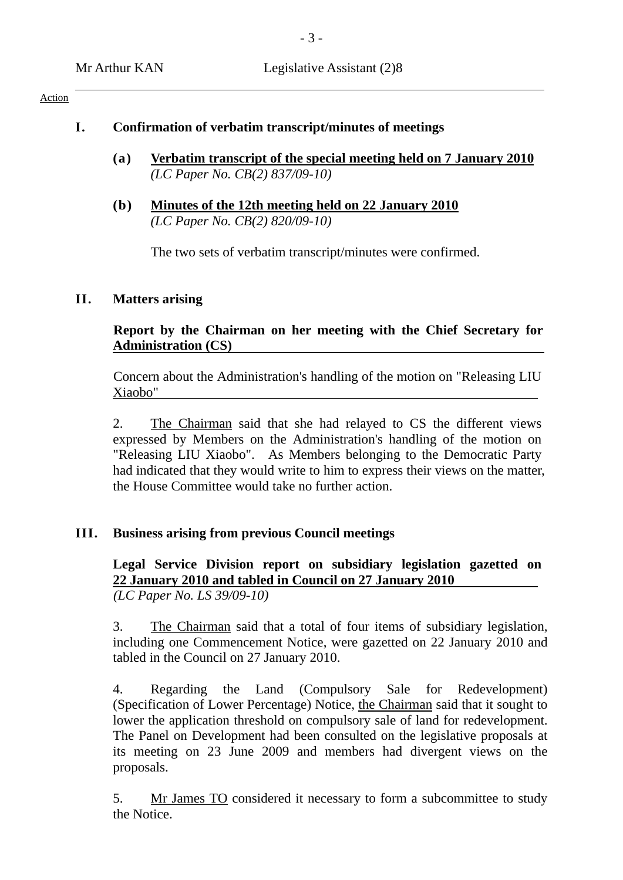#### Action

## **I. Confirmation of verbatim transcript/minutes of meetings**

- **(a) Verbatim transcript of the special meeting held on 7 January 2010** *(LC Paper No. CB(2) 837/09-10)*
- **(b) Minutes of the 12th meeting held on 22 January 2010** *(LC Paper No. CB(2) 820/09-10)*

The two sets of verbatim transcript/minutes were confirmed.

# **II. Matters arising**

## **Report by the Chairman on her meeting with the Chief Secretary for Administration (CS)**

Concern about the Administration's handling of the motion on "Releasing LIU Xiaobo"

2. The Chairman said that she had relayed to CS the different views expressed by Members on the Administration's handling of the motion on "Releasing LIU Xiaobo". As Members belonging to the Democratic Party had indicated that they would write to him to express their views on the matter, the House Committee would take no further action.

## **III. Business arising from previous Council meetings**

## **Legal Service Division report on subsidiary legislation gazetted on 22 January 2010 and tabled in Council on 27 January 2010**  *(LC Paper No. LS 39/09-10)*

3. The Chairman said that a total of four items of subsidiary legislation, including one Commencement Notice, were gazetted on 22 January 2010 and tabled in the Council on 27 January 2010.

4. Regarding the Land (Compulsory Sale for Redevelopment) (Specification of Lower Percentage) Notice, the Chairman said that it sought to lower the application threshold on compulsory sale of land for redevelopment. The Panel on Development had been consulted on the legislative proposals at its meeting on 23 June 2009 and members had divergent views on the proposals.

5. Mr James TO considered it necessary to form a subcommittee to study the Notice.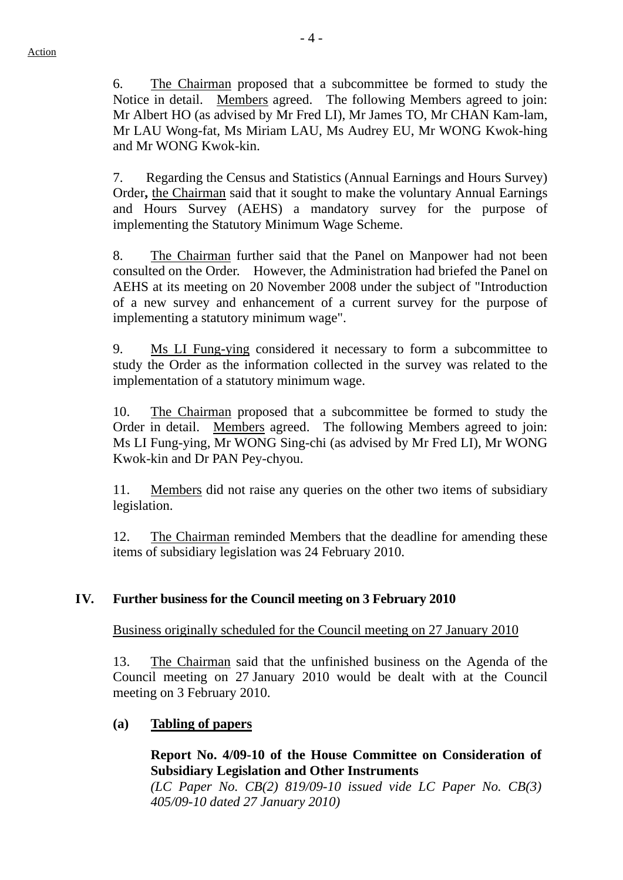6. The Chairman proposed that a subcommittee be formed to study the Notice in detail. Members agreed. The following Members agreed to join: Mr Albert HO (as advised by Mr Fred LI), Mr James TO, Mr CHAN Kam-lam, Mr LAU Wong-fat, Ms Miriam LAU, Ms Audrey EU, Mr WONG Kwok-hing and Mr WONG Kwok-kin.

7. Regarding the Census and Statistics (Annual Earnings and Hours Survey) Order**,** the Chairman said that it sought to make the voluntary Annual Earnings and Hours Survey (AEHS) a mandatory survey for the purpose of implementing the Statutory Minimum Wage Scheme.

8. The Chairman further said that the Panel on Manpower had not been consulted on the Order. However, the Administration had briefed the Panel on AEHS at its meeting on 20 November 2008 under the subject of "Introduction of a new survey and enhancement of a current survey for the purpose of implementing a statutory minimum wage".

9. Ms LI Fung-ying considered it necessary to form a subcommittee to study the Order as the information collected in the survey was related to the implementation of a statutory minimum wage.

10. The Chairman proposed that a subcommittee be formed to study the Order in detail. Members agreed. The following Members agreed to join: Ms LI Fung-ying, Mr WONG Sing-chi (as advised by Mr Fred LI), Mr WONG Kwok-kin and Dr PAN Pey-chyou.

11. Members did not raise any queries on the other two items of subsidiary legislation.

12. The Chairman reminded Members that the deadline for amending these items of subsidiary legislation was 24 February 2010.

# **IV. Further business for the Council meeting on 3 February 2010**

Business originally scheduled for the Council meeting on 27 January 2010

13. The Chairman said that the unfinished business on the Agenda of the Council meeting on 27 January 2010 would be dealt with at the Council meeting on 3 February 2010.

## **(a) Tabling of papers**

## **Report No. 4/09-10 of the House Committee on Consideration of Subsidiary Legislation and Other Instruments**

*(LC Paper No. CB(2) 819/09-10 issued vide LC Paper No. CB(3) 405/09-10 dated 27 January 2010)*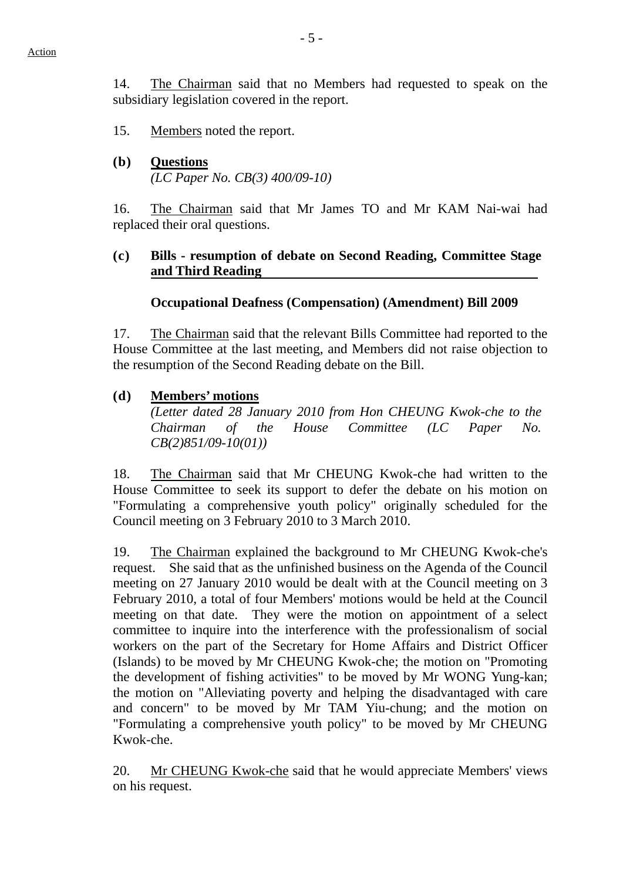- 15. Members noted the report.
- **(b) Questions** *(LC Paper No. CB(3) 400/09-10)*

16. The Chairman said that Mr James TO and Mr KAM Nai-wai had replaced their oral questions.

## **(c) Bills - resumption of debate on Second Reading, Committee Stage and Third Reading**

# **Occupational Deafness (Compensation) (Amendment) Bill 2009**

17. The Chairman said that the relevant Bills Committee had reported to the House Committee at the last meeting, and Members did not raise objection to the resumption of the Second Reading debate on the Bill.

# **(d) Members' motions**

*(Letter dated 28 January 2010 from Hon CHEUNG Kwok-che to the Chairman of the House Committee (LC Paper No. CB(2)851/09-10(01))* 

18. The Chairman said that Mr CHEUNG Kwok-che had written to the House Committee to seek its support to defer the debate on his motion on "Formulating a comprehensive youth policy" originally scheduled for the Council meeting on 3 February 2010 to 3 March 2010.

19. The Chairman explained the background to Mr CHEUNG Kwok-che's request. She said that as the unfinished business on the Agenda of the Council meeting on 27 January 2010 would be dealt with at the Council meeting on 3 February 2010, a total of four Members' motions would be held at the Council meeting on that date. They were the motion on appointment of a select committee to inquire into the interference with the professionalism of social workers on the part of the Secretary for Home Affairs and District Officer (Islands) to be moved by Mr CHEUNG Kwok-che; the motion on "Promoting the development of fishing activities" to be moved by Mr WONG Yung-kan; the motion on "Alleviating poverty and helping the disadvantaged with care and concern" to be moved by Mr TAM Yiu-chung; and the motion on "Formulating a comprehensive youth policy" to be moved by Mr CHEUNG Kwok-che.

20. Mr CHEUNG Kwok-che said that he would appreciate Members' views on his request.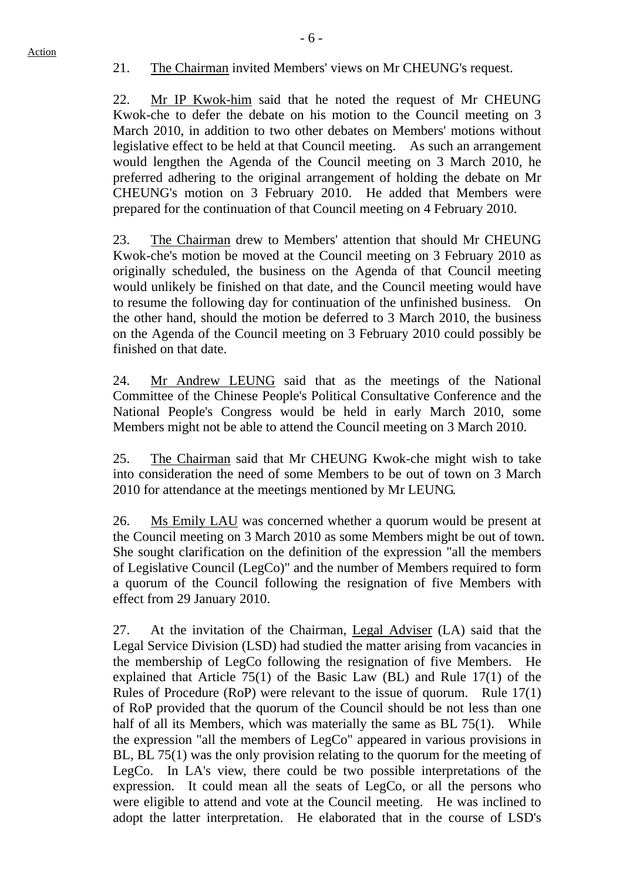21. The Chairman invited Members' views on Mr CHEUNG's request.

22. Mr IP Kwok-him said that he noted the request of Mr CHEUNG Kwok-che to defer the debate on his motion to the Council meeting on 3 March 2010, in addition to two other debates on Members' motions without legislative effect to be held at that Council meeting. As such an arrangement would lengthen the Agenda of the Council meeting on 3 March 2010, he preferred adhering to the original arrangement of holding the debate on Mr CHEUNG's motion on 3 February 2010. He added that Members were prepared for the continuation of that Council meeting on 4 February 2010.

23. The Chairman drew to Members' attention that should Mr CHEUNG Kwok-che's motion be moved at the Council meeting on 3 February 2010 as originally scheduled, the business on the Agenda of that Council meeting would unlikely be finished on that date, and the Council meeting would have to resume the following day for continuation of the unfinished business. On the other hand, should the motion be deferred to 3 March 2010, the business on the Agenda of the Council meeting on 3 February 2010 could possibly be finished on that date.

24. Mr Andrew LEUNG said that as the meetings of the National Committee of the Chinese People's Political Consultative Conference and the National People's Congress would be held in early March 2010, some Members might not be able to attend the Council meeting on 3 March 2010.

25. The Chairman said that Mr CHEUNG Kwok-che might wish to take into consideration the need of some Members to be out of town on 3 March 2010 for attendance at the meetings mentioned by Mr LEUNG.

26. Ms Emily LAU was concerned whether a quorum would be present at the Council meeting on 3 March 2010 as some Members might be out of town. She sought clarification on the definition of the expression "all the members of Legislative Council (LegCo)" and the number of Members required to form a quorum of the Council following the resignation of five Members with effect from 29 January 2010.

27. At the invitation of the Chairman, Legal Adviser (LA) said that the Legal Service Division (LSD) had studied the matter arising from vacancies in the membership of LegCo following the resignation of five Members. He explained that Article 75(1) of the Basic Law (BL) and Rule 17(1) of the Rules of Procedure (RoP) were relevant to the issue of quorum. Rule 17(1) of RoP provided that the quorum of the Council should be not less than one half of all its Members, which was materially the same as BL 75(1). While the expression "all the members of LegCo" appeared in various provisions in BL, BL 75(1) was the only provision relating to the quorum for the meeting of LegCo. In LA's view, there could be two possible interpretations of the expression. It could mean all the seats of LegCo, or all the persons who were eligible to attend and vote at the Council meeting. He was inclined to adopt the latter interpretation. He elaborated that in the course of LSD's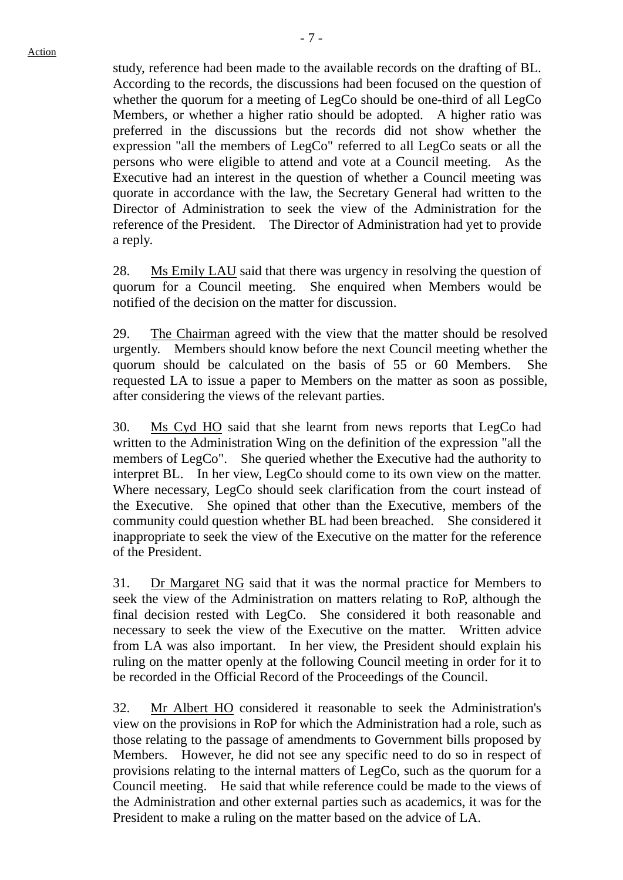study, reference had been made to the available records on the drafting of BL. According to the records, the discussions had been focused on the question of whether the quorum for a meeting of LegCo should be one-third of all LegCo Members, or whether a higher ratio should be adopted. A higher ratio was preferred in the discussions but the records did not show whether the expression "all the members of LegCo" referred to all LegCo seats or all the persons who were eligible to attend and vote at a Council meeting. As the Executive had an interest in the question of whether a Council meeting was quorate in accordance with the law, the Secretary General had written to the Director of Administration to seek the view of the Administration for the reference of the President. The Director of Administration had yet to provide a reply.

28. Ms Emily LAU said that there was urgency in resolving the question of quorum for a Council meeting. She enquired when Members would be notified of the decision on the matter for discussion.

29. The Chairman agreed with the view that the matter should be resolved urgently. Members should know before the next Council meeting whether the quorum should be calculated on the basis of 55 or 60 Members. She requested LA to issue a paper to Members on the matter as soon as possible, after considering the views of the relevant parties.

30. Ms Cyd HO said that she learnt from news reports that LegCo had written to the Administration Wing on the definition of the expression "all the members of LegCo". She queried whether the Executive had the authority to interpret BL. In her view, LegCo should come to its own view on the matter. Where necessary, LegCo should seek clarification from the court instead of the Executive. She opined that other than the Executive, members of the community could question whether BL had been breached. She considered it inappropriate to seek the view of the Executive on the matter for the reference of the President.

31. Dr Margaret NG said that it was the normal practice for Members to seek the view of the Administration on matters relating to RoP, although the final decision rested with LegCo. She considered it both reasonable and necessary to seek the view of the Executive on the matter. Written advice from LA was also important. In her view, the President should explain his ruling on the matter openly at the following Council meeting in order for it to be recorded in the Official Record of the Proceedings of the Council.

32. Mr Albert HO considered it reasonable to seek the Administration's view on the provisions in RoP for which the Administration had a role, such as those relating to the passage of amendments to Government bills proposed by Members. However, he did not see any specific need to do so in respect of provisions relating to the internal matters of LegCo, such as the quorum for a Council meeting. He said that while reference could be made to the views of the Administration and other external parties such as academics, it was for the President to make a ruling on the matter based on the advice of LA.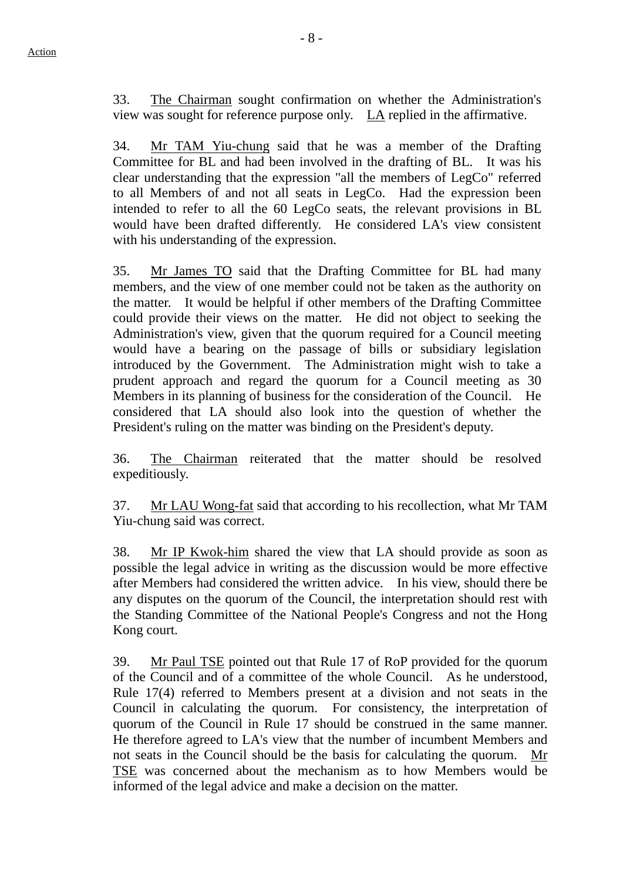33. The Chairman sought confirmation on whether the Administration's view was sought for reference purpose only. LA replied in the affirmative.

34. Mr TAM Yiu-chung said that he was a member of the Drafting Committee for BL and had been involved in the drafting of BL. It was his clear understanding that the expression "all the members of LegCo" referred to all Members of and not all seats in LegCo. Had the expression been intended to refer to all the 60 LegCo seats, the relevant provisions in BL would have been drafted differently. He considered LA's view consistent with his understanding of the expression.

35. Mr James TO said that the Drafting Committee for BL had many members, and the view of one member could not be taken as the authority on the matter. It would be helpful if other members of the Drafting Committee could provide their views on the matter. He did not object to seeking the Administration's view, given that the quorum required for a Council meeting would have a bearing on the passage of bills or subsidiary legislation introduced by the Government. The Administration might wish to take a prudent approach and regard the quorum for a Council meeting as 30 Members in its planning of business for the consideration of the Council. He considered that LA should also look into the question of whether the President's ruling on the matter was binding on the President's deputy.

36. The Chairman reiterated that the matter should be resolved expeditiously.

37. Mr LAU Wong-fat said that according to his recollection, what Mr TAM Yiu-chung said was correct.

38. Mr IP Kwok-him shared the view that LA should provide as soon as possible the legal advice in writing as the discussion would be more effective after Members had considered the written advice. In his view, should there be any disputes on the quorum of the Council, the interpretation should rest with the Standing Committee of the National People's Congress and not the Hong Kong court.

39. Mr Paul TSE pointed out that Rule 17 of RoP provided for the quorum of the Council and of a committee of the whole Council. As he understood, Rule 17(4) referred to Members present at a division and not seats in the Council in calculating the quorum. For consistency, the interpretation of quorum of the Council in Rule 17 should be construed in the same manner. He therefore agreed to LA's view that the number of incumbent Members and not seats in the Council should be the basis for calculating the quorum. Mr TSE was concerned about the mechanism as to how Members would be informed of the legal advice and make a decision on the matter.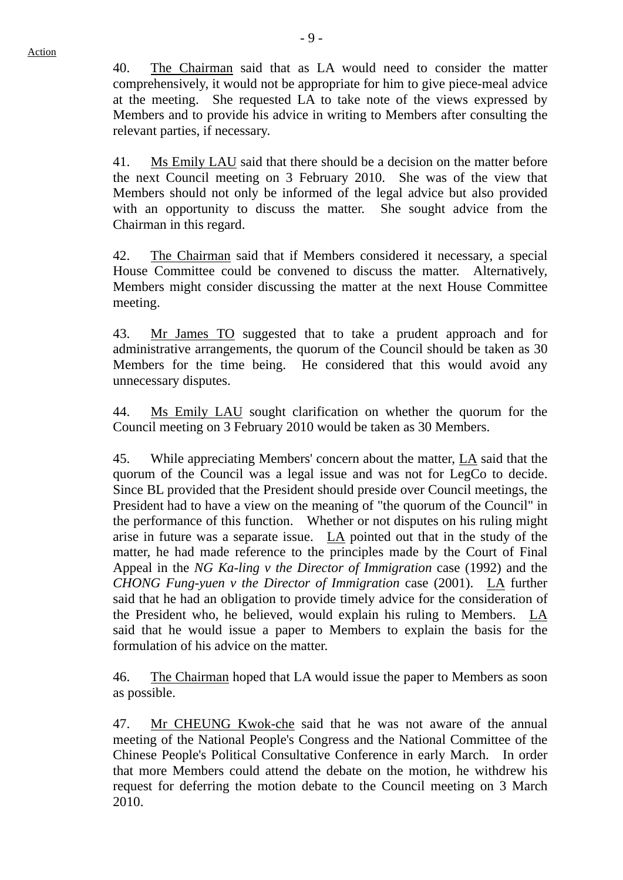40. The Chairman said that as LA would need to consider the matter comprehensively, it would not be appropriate for him to give piece-meal advice at the meeting. She requested LA to take note of the views expressed by Members and to provide his advice in writing to Members after consulting the relevant parties, if necessary.

41. Ms Emily LAU said that there should be a decision on the matter before the next Council meeting on 3 February 2010. She was of the view that Members should not only be informed of the legal advice but also provided with an opportunity to discuss the matter. She sought advice from the Chairman in this regard.

42. The Chairman said that if Members considered it necessary, a special House Committee could be convened to discuss the matter. Alternatively, Members might consider discussing the matter at the next House Committee meeting.

43. Mr James TO suggested that to take a prudent approach and for administrative arrangements, the quorum of the Council should be taken as 30 Members for the time being. He considered that this would avoid any unnecessary disputes.

44. Ms Emily LAU sought clarification on whether the quorum for the Council meeting on 3 February 2010 would be taken as 30 Members.

45. While appreciating Members' concern about the matter, LA said that the quorum of the Council was a legal issue and was not for LegCo to decide. Since BL provided that the President should preside over Council meetings, the President had to have a view on the meaning of "the quorum of the Council" in the performance of this function. Whether or not disputes on his ruling might arise in future was a separate issue. LA pointed out that in the study of the matter, he had made reference to the principles made by the Court of Final Appeal in the *NG Ka-ling v the Director of Immigration* case (1992) and the *CHONG Fung-yuen v the Director of Immigration* case (2001). LA further said that he had an obligation to provide timely advice for the consideration of the President who, he believed, would explain his ruling to Members. LA said that he would issue a paper to Members to explain the basis for the formulation of his advice on the matter.

46. The Chairman hoped that LA would issue the paper to Members as soon as possible.

47. Mr CHEUNG Kwok-che said that he was not aware of the annual meeting of the National People's Congress and the National Committee of the Chinese People's Political Consultative Conference in early March. In order that more Members could attend the debate on the motion, he withdrew his request for deferring the motion debate to the Council meeting on 3 March 2010.